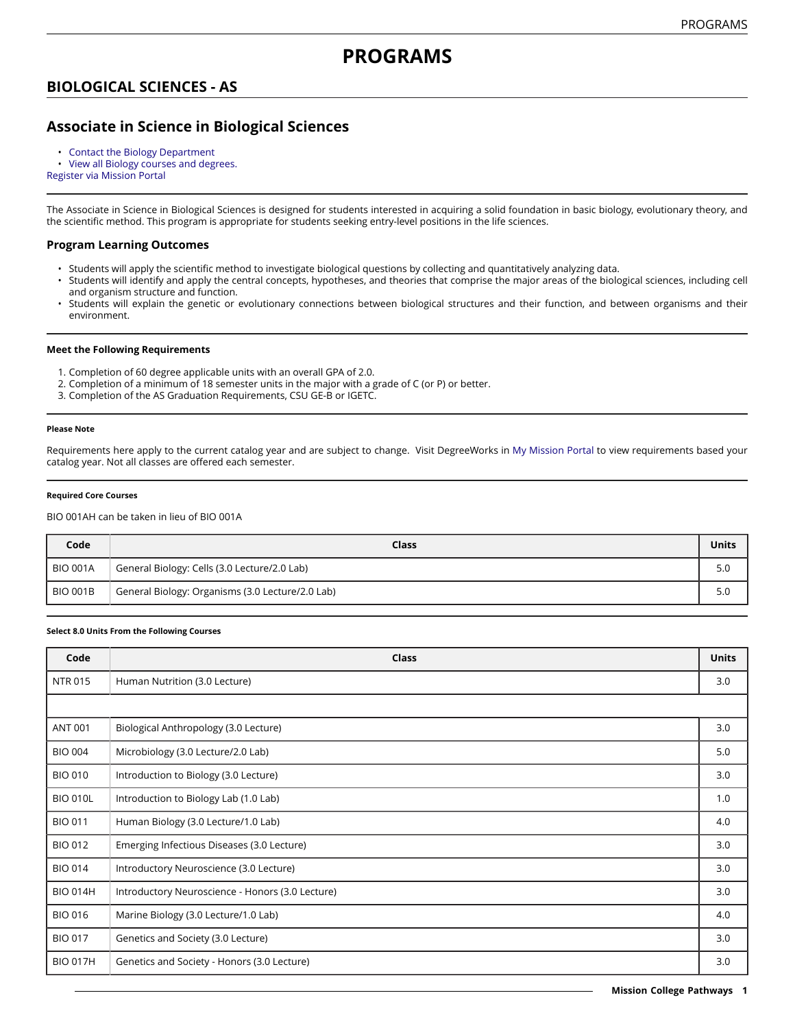# **BIOLOGICAL SCIENCES - AS**

# **Associate in Science in Biological Sciences**

• [Contact the Biology Department](https://missioncollege.edu/depts/biology/index.html)

• View all Biology courses and [degrees.](http://majors.missioncollege.edu/current/courses/bio.html)

[Register via Mission Portal](https://web.wvm.edu/)

The Associate in Science in Biological Sciences is designed for students interested in acquiring a solid foundation in basic biology, evolutionary theory, and the scientific method. This program is appropriate for students seeking entry-level positions in the life sciences.

### **Program Learning Outcomes**

- Students will apply the scientific method to investigate biological questions by collecting and quantitatively analyzing data.
- Students will identify and apply the central concepts, hypotheses, and theories that comprise the major areas of the biological sciences, including cell and organism structure and function.
- Students will explain the genetic or evolutionary connections between biological structures and their function, and between organisms and their environment.

#### **Meet the Following Requirements**

- 1. Completion of 60 degree applicable units with an overall GPA of 2.0.
- 2. Completion of a minimum of 18 semester units in the major with a grade of C (or P) or better.
- 3. Completion of the AS Graduation Requirements, CSU GE-B or IGETC.

#### **Please Note**

Requirements here apply to the current catalog year and are subject to change. Visit DegreeWorks in [My Mission Portal t](https://web.wvm.edu/#/)o view requirements based your catalog year. Not all classes are offered each semester.

#### **Required Core Courses**

BIO 001AH can be taken in lieu of BIO 001A

| Code            | Class                                            | Units |
|-----------------|--------------------------------------------------|-------|
| <b>BIO 001A</b> | General Biology: Cells (3.0 Lecture/2.0 Lab)     | 5.0   |
| <b>BIO 001B</b> | General Biology: Organisms (3.0 Lecture/2.0 Lab) | 5.0   |

#### **Select 8.0 Units From the Following Courses**

| Code            | <b>Class</b>                                     | <b>Units</b> |
|-----------------|--------------------------------------------------|--------------|
| <b>NTR 015</b>  | Human Nutrition (3.0 Lecture)                    | 3.0          |
|                 |                                                  |              |
| <b>ANT 001</b>  | Biological Anthropology (3.0 Lecture)            | 3.0          |
| <b>BIO 004</b>  | Microbiology (3.0 Lecture/2.0 Lab)               | 5.0          |
| <b>BIO 010</b>  | Introduction to Biology (3.0 Lecture)            | 3.0          |
| <b>BIO 010L</b> | Introduction to Biology Lab (1.0 Lab)            | 1.0          |
| <b>BIO 011</b>  | Human Biology (3.0 Lecture/1.0 Lab)              | 4.0          |
| <b>BIO 012</b>  | Emerging Infectious Diseases (3.0 Lecture)       | 3.0          |
| <b>BIO 014</b>  | Introductory Neuroscience (3.0 Lecture)          | 3.0          |
| <b>BIO 014H</b> | Introductory Neuroscience - Honors (3.0 Lecture) | 3.0          |
| <b>BIO 016</b>  | Marine Biology (3.0 Lecture/1.0 Lab)             | 4.0          |
| <b>BIO 017</b>  | Genetics and Society (3.0 Lecture)               | 3.0          |
| <b>BIO 017H</b> | Genetics and Society - Honors (3.0 Lecture)      | 3.0          |